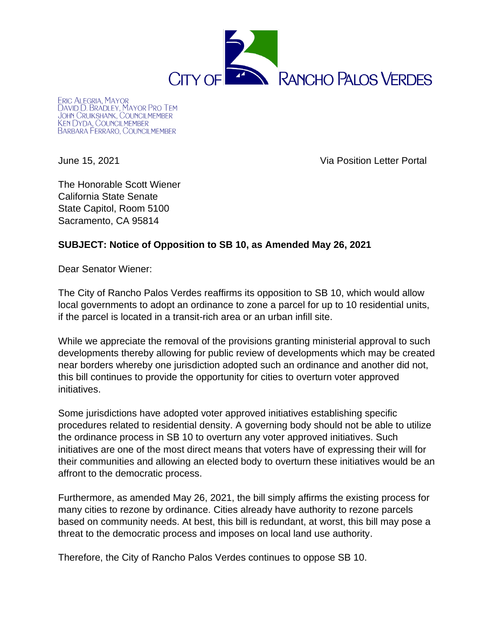

**ERIC ALEGRIA, MAYOR** LRIC ALEGRIA, MAYOR<br>DAVID D. BRADLEY, MAYOR PRO TEM<br>JOHN CRUIKSHANK, COUNCILMEMBER<br>KEN DYDA<u>,</u> COUNCILMEMBER BARBARA FERRARO, COUNCILMEMBER

June 15, 2021 Via Position Letter Portal

The Honorable Scott Wiener California State Senate State Capitol, Room 5100 Sacramento, CA 95814

## **SUBJECT: Notice of Opposition to SB 10, as Amended May 26, 2021**

Dear Senator Wiener:

The City of Rancho Palos Verdes reaffirms its opposition to SB 10, which would allow local governments to adopt an ordinance to zone a parcel for up to 10 residential units, if the parcel is located in a transit-rich area or an urban infill site.

While we appreciate the removal of the provisions granting ministerial approval to such developments thereby allowing for public review of developments which may be created near borders whereby one jurisdiction adopted such an ordinance and another did not, this bill continues to provide the opportunity for cities to overturn voter approved initiatives.

Some jurisdictions have adopted voter approved initiatives establishing specific procedures related to residential density. A governing body should not be able to utilize the ordinance process in SB 10 to overturn any voter approved initiatives. Such initiatives are one of the most direct means that voters have of expressing their will for their communities and allowing an elected body to overturn these initiatives would be an affront to the democratic process.

Furthermore, as amended May 26, 2021, the bill simply affirms the existing process for many cities to rezone by ordinance. Cities already have authority to rezone parcels based on community needs. At best, this bill is redundant, at worst, this bill may pose a threat to the democratic process and imposes on local land use authority.

Therefore, the City of Rancho Palos Verdes continues to oppose SB 10.